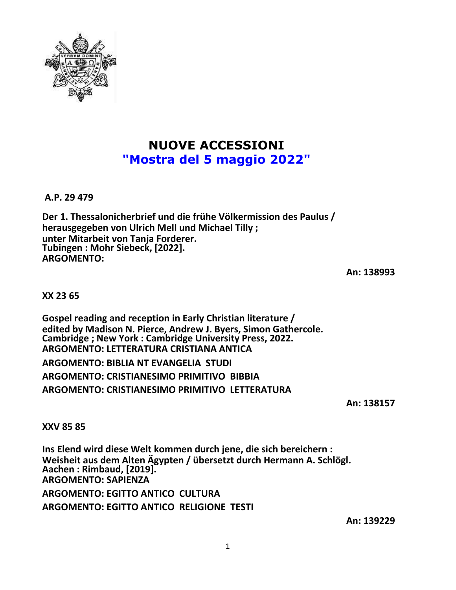

## **NUOVE ACCESSIONI "Mostra del 5 maggio 2022"**

**A.P. 29 479**

**Der 1. Thessalonicherbrief und die frühe Völkermission des Paulus / herausgegeben von Ulrich Mell und Michael Tilly ; unter Mitarbeit von Tanja Forderer. Tubingen : Mohr Siebeck, [2022]. ARGOMENTO:**

**An: 138993**

**XX 23 65**

**Gospel reading and reception in Early Christian literature / edited by Madison N. Pierce, Andrew J. Byers, Simon Gathercole. Cambridge ; New York : Cambridge University Press, 2022. ARGOMENTO: LETTERATURA CRISTIANA ANTICA ARGOMENTO: BIBLIA NT EVANGELIA STUDI ARGOMENTO: CRISTIANESIMO PRIMITIVO BIBBIA ARGOMENTO: CRISTIANESIMO PRIMITIVO LETTERATURA**

**An: 138157**

**XXV 85 85**

**Ins Elend wird diese Welt kommen durch jene, die sich bereichern : Weisheit aus dem Alten Ägypten / übersetzt durch Hermann A. Schlögl. Aachen : Rimbaud, [2019]. ARGOMENTO: SAPIENZA ARGOMENTO: EGITTO ANTICO CULTURA ARGOMENTO: EGITTO ANTICO RELIGIONE TESTI**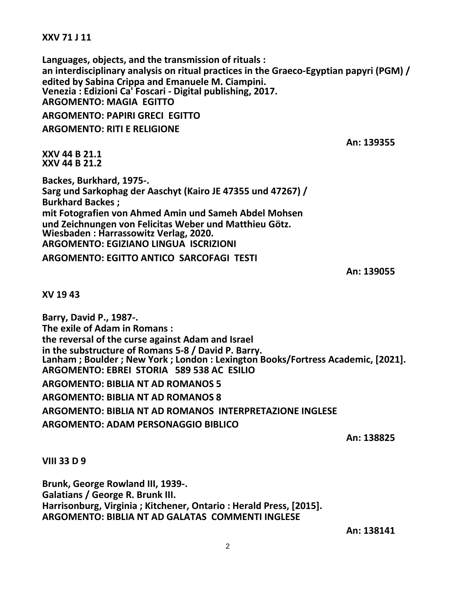**XXV 71 J 11**

**Languages, objects, and the transmission of rituals : an interdisciplinary analysis on ritual practices in the Graeco-Egyptian papyri (PGM) / edited by Sabina Crippa and Emanuele M. Ciampini. Venezia : Edizioni Ca' Foscari - Digital publishing, 2017. ARGOMENTO: MAGIA EGITTO ARGOMENTO: PAPIRI GRECI EGITTO ARGOMENTO: RITI E RELIGIONE An: 139355**

**XXV 44 B 21.1 XXV 44 B 21.2**

**Backes, Burkhard, 1975-. Sarg und Sarkophag der Aaschyt (Kairo JE 47355 und 47267) / Burkhard Backes ; mit Fotografien von Ahmed Amin und Sameh Abdel Mohsen und Zeichnungen von Felicitas Weber und Matthieu Götz. Wiesbaden : Harrassowitz Verlag, 2020. ARGOMENTO: EGIZIANO LINGUA ISCRIZIONI ARGOMENTO: EGITTO ANTICO SARCOFAGI TESTI**

**An: 139055**

**XV 19 43**

**Barry, David P., 1987-. The exile of Adam in Romans : the reversal of the curse against Adam and Israel in the substructure of Romans 5-8 / David P. Barry. Lanham ; Boulder ; New York ; London : Lexington Books/Fortress Academic, [2021]. ARGOMENTO: EBREI STORIA 589 538 AC ESILIO ARGOMENTO: BIBLIA NT AD ROMANOS 5**

**ARGOMENTO: BIBLIA NT AD ROMANOS 8 ARGOMENTO: BIBLIA NT AD ROMANOS INTERPRETAZIONE INGLESE ARGOMENTO: ADAM PERSONAGGIO BIBLICO**

**An: 138825**

**VIII 33 D 9**

**Brunk, George Rowland III, 1939-. Galatians / George R. Brunk III. Harrisonburg, Virginia ; Kitchener, Ontario : Herald Press, [2015]. ARGOMENTO: BIBLIA NT AD GALATAS COMMENTI INGLESE**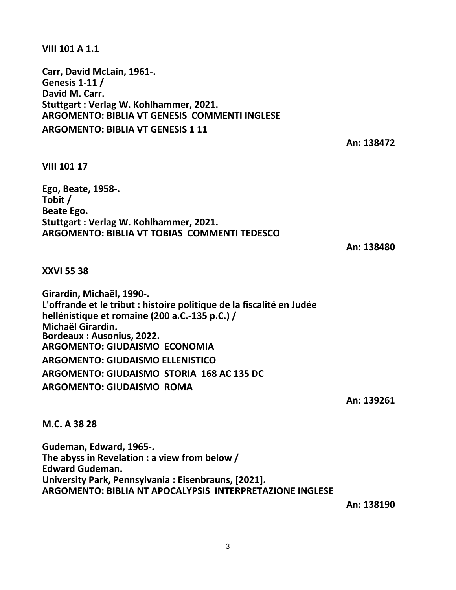**VIII 101 A 1.1**

**Carr, David McLain, 1961-. Genesis 1-11 / David M. Carr. Stuttgart : Verlag W. Kohlhammer, 2021. ARGOMENTO: BIBLIA VT GENESIS COMMENTI INGLESE ARGOMENTO: BIBLIA VT GENESIS 1 11**

**An: 138472**

**VIII 101 17**

**Ego, Beate, 1958-. Tobit / Beate Ego. Stuttgart : Verlag W. Kohlhammer, 2021. ARGOMENTO: BIBLIA VT TOBIAS COMMENTI TEDESCO**

**An: 138480**

**XXVI 55 38**

**Girardin, Michaël, 1990-. L'offrande et le tribut : histoire politique de la fiscalité en Judée hellénistique et romaine (200 a.C.-135 p.C.) / Michaël Girardin. Bordeaux : Ausonius, 2022. ARGOMENTO: GIUDAISMO ECONOMIA ARGOMENTO: GIUDAISMO ELLENISTICO ARGOMENTO: GIUDAISMO STORIA 168 AC 135 DC ARGOMENTO: GIUDAISMO ROMA**

**An: 139261**

**M.C. A 38 28**

**Gudeman, Edward, 1965-. The abyss in Revelation : a view from below / Edward Gudeman. University Park, Pennsylvania : Eisenbrauns, [2021]. ARGOMENTO: BIBLIA NT APOCALYPSIS INTERPRETAZIONE INGLESE**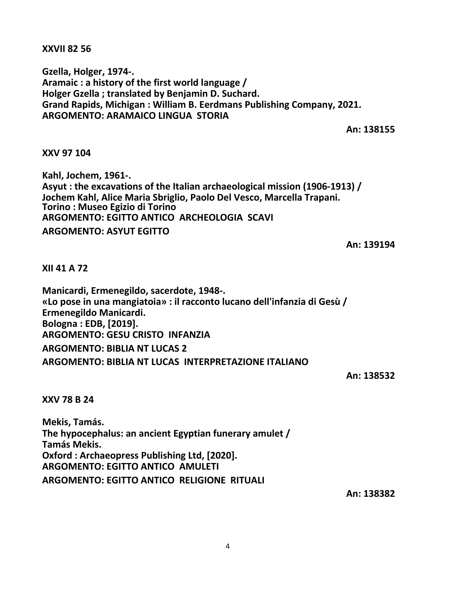**XXVII 82 56**

**Gzella, Holger, 1974-. Aramaic : a history of the first world language / Holger Gzella ; translated by Benjamin D. Suchard. Grand Rapids, Michigan : William B. Eerdmans Publishing Company, 2021. ARGOMENTO: ARAMAICO LINGUA STORIA**

**An: 138155**

## **XXV 97 104**

**Kahl, Jochem, 1961-. Asyut : the excavations of the Italian archaeological mission (1906-1913) / Jochem Kahl, Alice Maria Sbriglio, Paolo Del Vesco, Marcella Trapani. Torino : Museo Egizio di Torino ARGOMENTO: EGITTO ANTICO ARCHEOLOGIA SCAVI ARGOMENTO: ASYUT EGITTO**

**An: 139194**

**XII 41 A 72**

**Manicardi, Ermenegildo, sacerdote, 1948-. «Lo pose in una mangiatoia» : il racconto lucano dell'infanzia di Gesù / Ermenegildo Manicardi. Bologna : EDB, [2019]. ARGOMENTO: GESU CRISTO INFANZIA ARGOMENTO: BIBLIA NT LUCAS 2 ARGOMENTO: BIBLIA NT LUCAS INTERPRETAZIONE ITALIANO**

**An: 138532**

**XXV 78 B 24**

**Mekis, Tamás. The hypocephalus: an ancient Egyptian funerary amulet / Tamás Mekis. Oxford : Archaeopress Publishing Ltd, [2020]. ARGOMENTO: EGITTO ANTICO AMULETI ARGOMENTO: EGITTO ANTICO RELIGIONE RITUALI**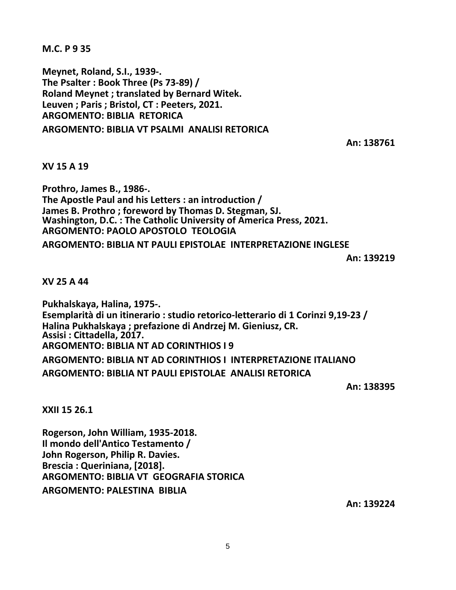**M.C. P 9 35**

**Meynet, Roland, S.I., 1939-. The Psalter : Book Three (Ps 73-89) / Roland Meynet ; translated by Bernard Witek. Leuven ; Paris ; Bristol, CT : Peeters, 2021. ARGOMENTO: BIBLIA RETORICA ARGOMENTO: BIBLIA VT PSALMI ANALISI RETORICA**

**An: 138761**

## **XV 15 A 19**

**Prothro, James B., 1986-. The Apostle Paul and his Letters : an introduction / James B. Prothro ; foreword by Thomas D. Stegman, SJ. Washington, D.C. : The Catholic University of America Press, 2021. ARGOMENTO: PAOLO APOSTOLO TEOLOGIA ARGOMENTO: BIBLIA NT PAULI EPISTOLAE INTERPRETAZIONE INGLESE**

**An: 139219**

**XV 25 A 44**

**Pukhalskaya, Halina, 1975-. Esemplarità di un itinerario : studio retorico-letterario di 1 Corinzi 9,19-23 / Halina Pukhalskaya ; prefazione di Andrzej M. Gieniusz, CR. Assisi : Cittadella, 2017. ARGOMENTO: BIBLIA NT AD CORINTHIOS I 9 ARGOMENTO: BIBLIA NT AD CORINTHIOS I INTERPRETAZIONE ITALIANO ARGOMENTO: BIBLIA NT PAULI EPISTOLAE ANALISI RETORICA**

**An: 138395**

**XXII 15 26.1**

**Rogerson, John William, 1935-2018. Il mondo dell'Antico Testamento / John Rogerson, Philip R. Davies. Brescia : Queriniana, [2018]. ARGOMENTO: BIBLIA VT GEOGRAFIA STORICA ARGOMENTO: PALESTINA BIBLIA**